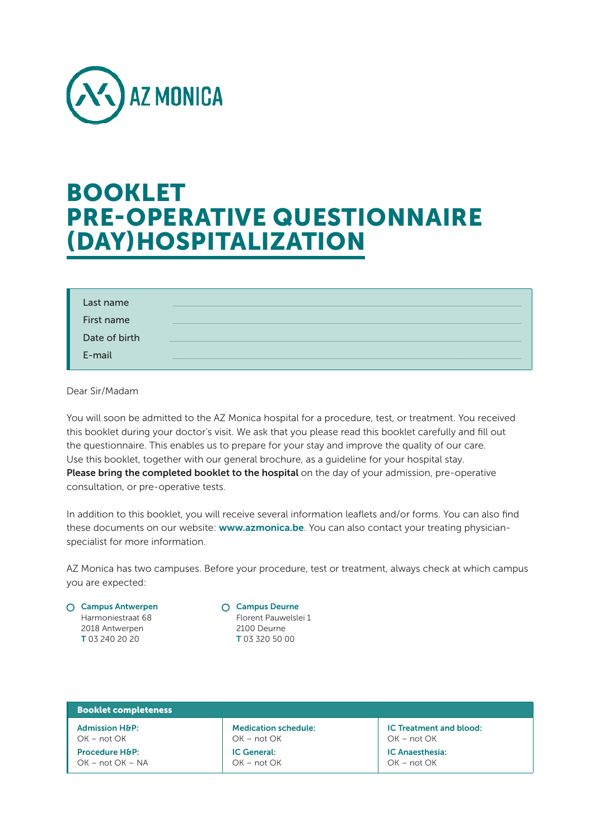

# **BOOKLET PRE-OPERATIVE QUESTIONNAIRE** (DAY)HOSPITALIZATION

| Last name     |  |
|---------------|--|
| First name    |  |
| Date of birth |  |
| E-mail        |  |

Dear Sir/Madam

You will soon be admitted to the AZ Monica hospital for a procedure, test, or treatment. You received this booklet during your doctor's visit. We ask that you please read this booklet carefully and fill out the questionnaire. This enables us to prepare for your stay and improve the quality of our care. Use this booklet, together with our general brochure, as a guideline for your hospital stay. Please bring the completed booklet to the hospital on the day of your admission, pre-operative consultation, or pre-operative tests.

In addition to this booklet, you will receive several information leaflets and/or forms. You can also find these documents on our website: www.azmonica.be. You can also contact your treating physicianspecialist for more information.

AZ Monica has two campuses. Before your procedure, test or treatment, always check at which campus you are expected:

#### ○ Campus Antwerpen Harmoniestraat 68

2018 Antwerpen T 03 240 20 20

### ○ Campus Deurne

Florent Pauwelslei 1 2100 Deurne T 03 320 50 00

| <b>Booklet completeness</b> |                             |                                |
|-----------------------------|-----------------------------|--------------------------------|
| <b>Admission H&amp;P:</b>   | <b>Medication schedule:</b> | <b>IC Treatment and blood:</b> |
| $OK - not OK$               | $OK - not OK$               | $OK - not OK$                  |
| <b>Procedure H&amp;P:</b>   | <b>IC General:</b>          | <b>IC Anaesthesia:</b>         |
| $OK - not OK - NA$          | $OK - not OK$               | $OK - not OK$                  |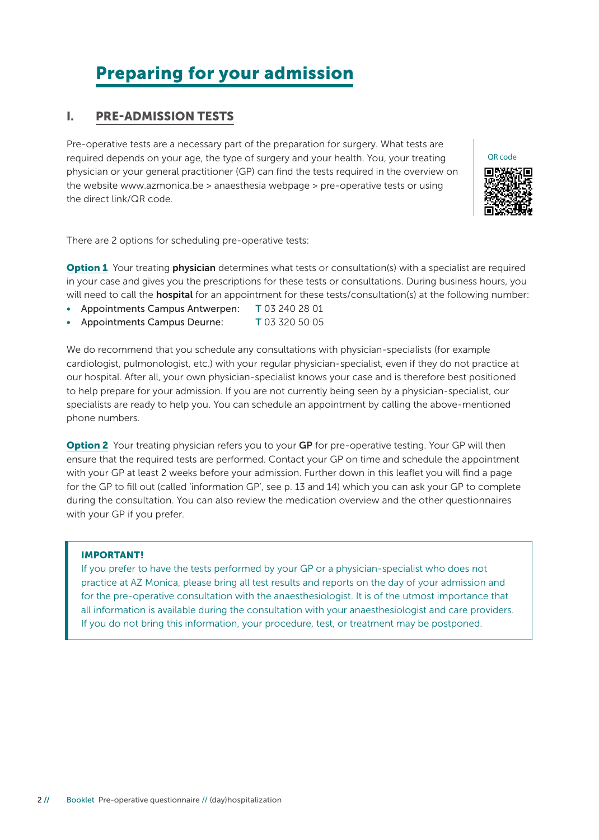## Preparing for your admission

### I. PRE-ADMISSION TESTS

Pre-operative tests are a necessary part of the preparation for surgery. What tests are required depends on your age, the type of surgery and your health. You, your treating physician or your general practitioner (GP) can find the tests required in the overview on the website www.azmonica.be > anaesthesia webpage > pre-operative tests or using the direct link/QR code.



There are 2 options for scheduling pre-operative tests:

**Option 1** Your treating **physician** determines what tests or consultation(s) with a specialist are required in your case and gives you the prescriptions for these tests or consultations. During business hours, you will need to call the **hospital** for an appointment for these tests/consultation(s) at the following number:

- Appointments Campus Antwerpen: T 03 240 28 01
- Appointments Campus Deurne: T 03 320 50 05

We do recommend that you schedule any consultations with physician-specialists (for example cardiologist, pulmonologist, etc.) with your regular physician-specialist, even if they do not practice at our hospital. After all, your own physician-specialist knows your case and is therefore best positioned to help prepare for your admission. If you are not currently being seen by a physician-specialist, our specialists are ready to help you. You can schedule an appointment by calling the above-mentioned phone numbers.

**Option 2** Your treating physician refers you to your GP for pre-operative testing. Your GP will then ensure that the required tests are performed. Contact your GP on time and schedule the appointment with your GP at least 2 weeks before your admission. Further down in this leaflet you will find a page for the GP to fill out (called 'information GP', see p. 13 and 14) which you can ask your GP to complete during the consultation. You can also review the medication overview and the other questionnaires with your GP if you prefer.

#### IMPORTANT!

If you prefer to have the tests performed by your GP or a physician-specialist who does not practice at AZ Monica, please bring all test results and reports on the day of your admission and for the pre-operative consultation with the anaesthesiologist. It is of the utmost importance that all information is available during the consultation with your anaesthesiologist and care providers. If you do not bring this information, your procedure, test, or treatment may be postponed.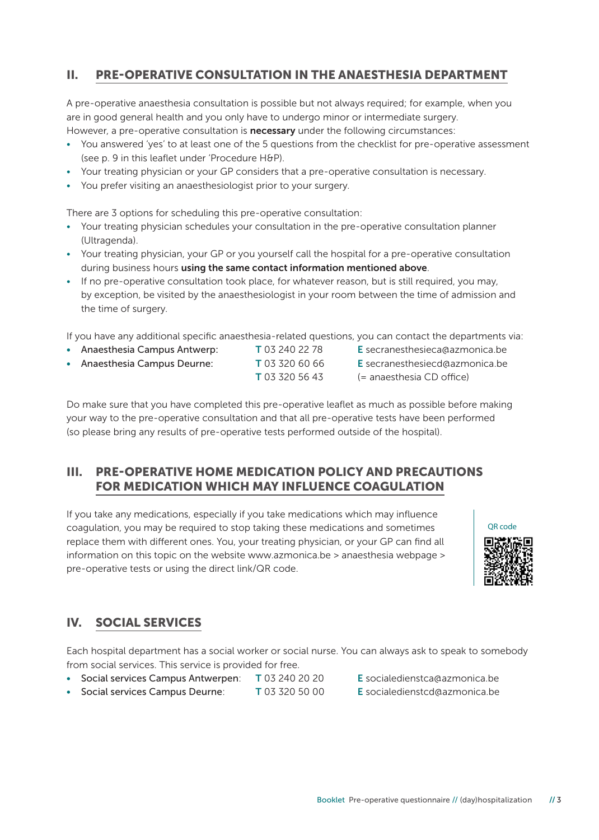## II. PRE-OPERATIVE CONSULTATION IN THE ANAESTHESIA DEPARTMENT

A pre-operative anaesthesia consultation is possible but not always required; for example, when you are in good general health and you only have to undergo minor or intermediate surgery. However, a pre-operative consultation is **necessary** under the following circumstances:

- You answered 'yes' to at least one of the 5 questions from the checklist for pre-operative assessment (see p. 9 in this leaflet under 'Procedure H&P).
- Your treating physician or your GP considers that a pre-operative consultation is necessary.
- You prefer visiting an anaesthesiologist prior to your surgery.

There are 3 options for scheduling this pre-operative consultation:

- Your treating physician schedules your consultation in the pre-operative consultation planner (Ultragenda).
- Your treating physician, your GP or you yourself call the hospital for a pre-operative consultation during business hours using the same contact information mentioned above.
- If no pre-operative consultation took place, for whatever reason, but is still required, you may, by exception, be visited by the anaesthesiologist in your room between the time of admission and the time of surgery.

If you have any additional specific anaesthesia-related questions, you can contact the departments via:

- Anaesthesia Campus Antwerp: T 03 240 22 78 E secranesthesieca@azmonica.be
- Anaesthesia Campus Deurne: T 03 320 60 66 E secranesthesiecd@azmonica.be
- 
- 
- 
- T 03 320 56 43 (= anaesthesia CD office)

Do make sure that you have completed this pre-operative leaflet as much as possible before making your way to the pre-operative consultation and that all pre-operative tests have been performed (so please bring any results of pre-operative tests performed outside of the hospital).

### III. PRE-OPERATIVE HOME MEDICATION POLICY AND PRECAUTIONS FOR MEDICATION WHICH MAY INFLUENCE COAGULATION

If you take any medications, especially if you take medications which may influence coagulation, you may be required to stop taking these medications and sometimes replace them with different ones. You, your treating physician, or your GP can find all information on this topic on the website www.azmonica.be > anaesthesia webpage > pre-operative tests or using the direct link/QR code.



## IV. SOCIAL SERVICES

Each hospital department has a social worker or social nurse. You can always ask to speak to somebody from social services. This service is provided for free.

- Social services Campus Antwerpen: T 03 240 20 20 E socialedienstca@azmonica.be
- Social services Campus Deurne: T 03 320 50 00 E socialedienstcd@azmonica.be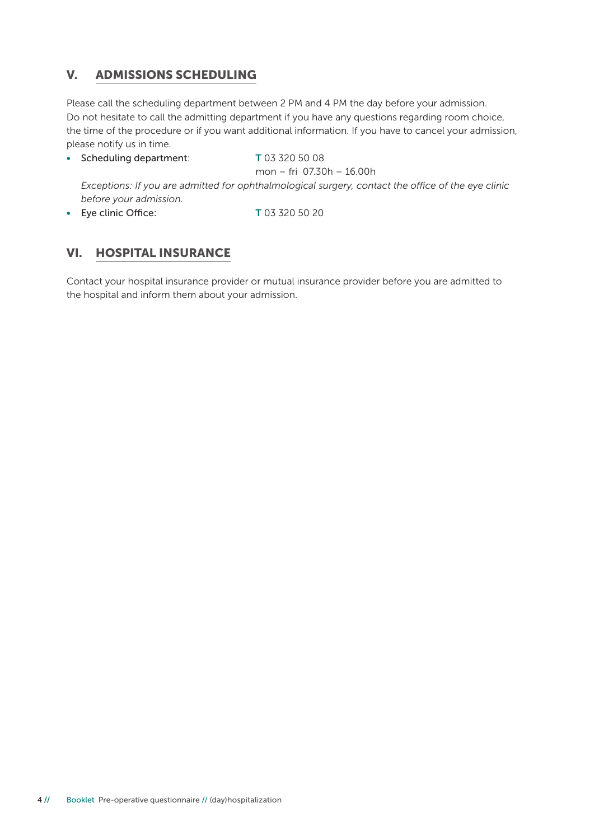## V. ADMISSIONS SCHEDULING

Please call the scheduling department between 2 PM and 4 PM the day before your admission. Do not hesitate to call the admitting department if you have any questions regarding room choice, the time of the procedure or if you want additional information. If you have to cancel your admission, please notify us in time.

• Scheduling department: T 03 320 50 08

mon – fri 07.30h – 16.00h

*Exceptions: If you are admitted for ophthalmological surgery, contact the office of the eye clinic before your admission.*

• Eye clinic Office: T 03 320 50 20

### VI. HOSPITAL INSURANCE

Contact your hospital insurance provider or mutual insurance provider before you are admitted to the hospital and inform them about your admission.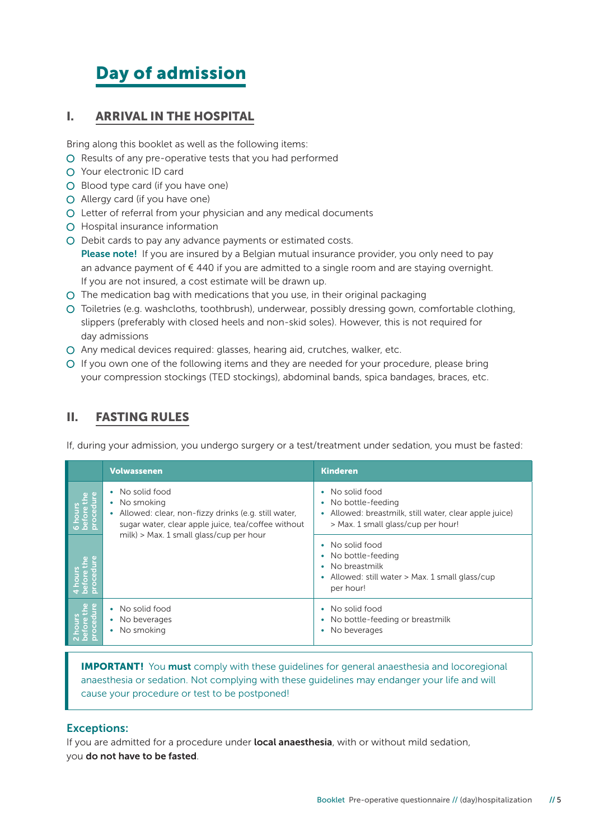## Day of admission

### I. ARRIVAL IN THE HOSPITAL

Bring along this booklet as well as the following items:

- $O$  Results of any pre-operative tests that you had performed
- Your electronic ID card
- $O$  Blood type card (if you have one)
- Allergy card (if you have one)
- Letter of referral from your physician and any medical documents
- O Hospital insurance information
- Debit cards to pay any advance payments or estimated costs. Please note! If you are insured by a Belgian mutual insurance provider, you only need to pay an advance payment of  $\epsilon$  440 if you are admitted to a single room and are staying overnight. If you are not insured, a cost estimate will be drawn up.
- The medication bag with medications that you use, in their original packaging
- Toiletries (e.g. washcloths, toothbrush), underwear, possibly dressing gown, comfortable clothing, slippers (preferably with closed heels and non-skid soles). However, this is not required for day admissions
- Any medical devices required: glasses, hearing aid, crutches, walker, etc.
- If you own one of the following items and they are needed for your procedure, please bring your compression stockings (TED stockings), abdominal bands, spica bandages, braces, etc.

### II. FASTING RULES

If, during your admission, you undergo surgery or a test/treatment under sedation, you must be fasted:

|                                         | <b>Volwassenen</b>                                                                                                                                      | <b>Kinderen</b>                                                                                                                  |
|-----------------------------------------|---------------------------------------------------------------------------------------------------------------------------------------------------------|----------------------------------------------------------------------------------------------------------------------------------|
|                                         | No solid food<br>٠<br>No smoking<br>٠<br>Allowed: clear, non-fizzy drinks (e.g. still water,<br>٠<br>sugar water, clear apple juice, tea/coffee without | No solid food<br>No bottle-feeding<br>Allowed: breastmilk, still water, clear apple juice)<br>> Max. 1 small glass/cup per hour! |
| milk) > Max. 1 small glass/cup per hour |                                                                                                                                                         | No solid food<br>No bottle-feeding<br>No breastmilk<br>Allowed: still water > Max. 1 small glass/cup<br>per hour!                |
|                                         | No solid food<br>$\bullet$<br>No beverages<br>$\bullet$<br>• No smoking                                                                                 | No solid food<br>No bottle-feeding or breastmilk<br>No beverages                                                                 |

**IMPORTANT!** You must comply with these quidelines for general anaesthesia and locoregional anaesthesia or sedation. Not complying with these guidelines may endanger your life and will cause your procedure or test to be postponed!

### Exceptions:

If you are admitted for a procedure under **local anaesthesia**, with or without mild sedation, you do not have to be fasted.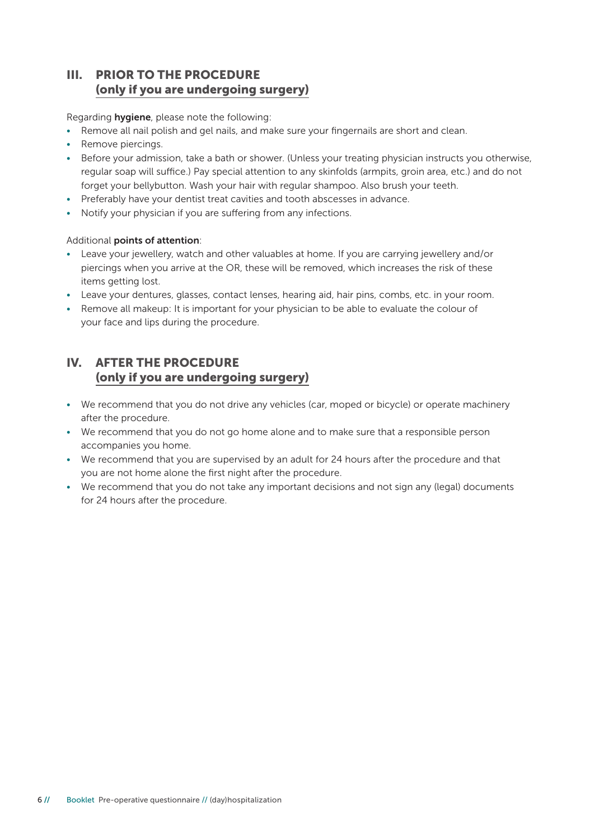## III. PRIOR TO THE PROCEDURE (only if you are undergoing surgery)

#### Regarding **hygiene**, please note the following:

- Remove all nail polish and gel nails, and make sure your fingernails are short and clean.
- Remove piercings.
- Before your admission, take a bath or shower. (Unless your treating physician instructs you otherwise, regular soap will suffice.) Pay special attention to any skinfolds (armpits, groin area, etc.) and do not forget your bellybutton. Wash your hair with regular shampoo. Also brush your teeth.
- Preferably have your dentist treat cavities and tooth abscesses in advance.
- Notify your physician if you are suffering from any infections.

#### Additional points of attention:

- Leave your jewellery, watch and other valuables at home. If you are carrying jewellery and/or piercings when you arrive at the OR, these will be removed, which increases the risk of these items getting lost.
- Leave your dentures, glasses, contact lenses, hearing aid, hair pins, combs, etc. in your room.
- Remove all makeup: It is important for your physician to be able to evaluate the colour of your face and lips during the procedure.

### IV. AFTER THE PROCEDURE (only if you are undergoing surgery)

- We recommend that you do not drive any vehicles (car, moped or bicycle) or operate machinery after the procedure.
- We recommend that you do not go home alone and to make sure that a responsible person accompanies you home.
- We recommend that you are supervised by an adult for 24 hours after the procedure and that you are not home alone the first night after the procedure.
- We recommend that you do not take any important decisions and not sign any (legal) documents for 24 hours after the procedure.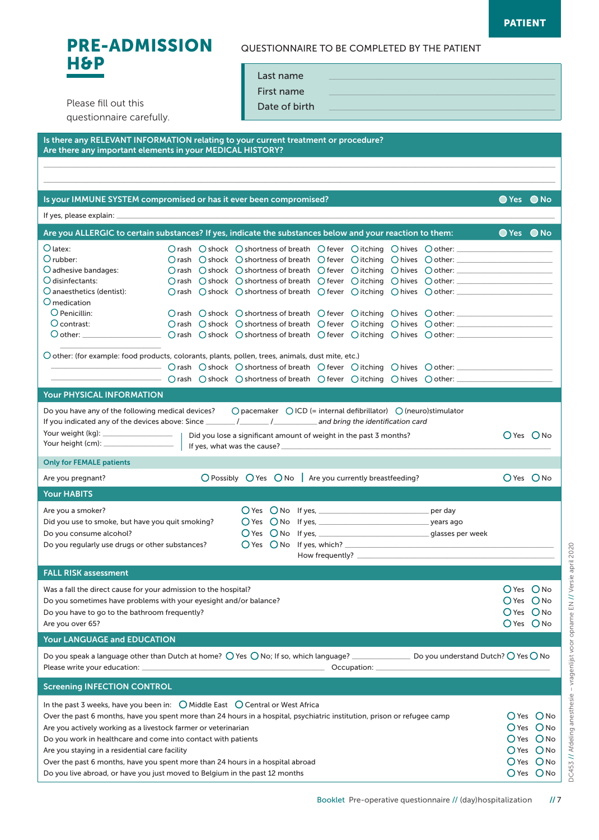

OYes ONo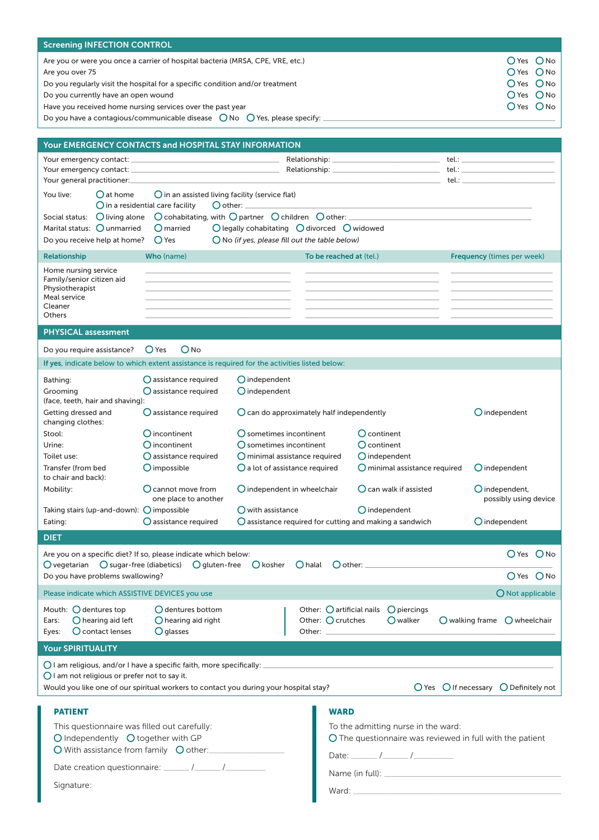| <b>Screening INFECTION CONTROL</b>                                                                                                                                                                                                        |                                                                                                                                 |                                                                                                                                   |                                                           |                                                                                                                  |                                                                                  |
|-------------------------------------------------------------------------------------------------------------------------------------------------------------------------------------------------------------------------------------------|---------------------------------------------------------------------------------------------------------------------------------|-----------------------------------------------------------------------------------------------------------------------------------|-----------------------------------------------------------|------------------------------------------------------------------------------------------------------------------|----------------------------------------------------------------------------------|
| Are you or were you once a carrier of hospital bacteria (MRSA, CPE, VRE, etc.)<br>Are you over 75<br>Do you regularly visit the hospital for a specific condition and/or treatment<br>Do you currently have an open wound                 |                                                                                                                                 |                                                                                                                                   |                                                           |                                                                                                                  | $O$ Yes $O$ No<br>$O$ Yes $O$ No<br>$O$ Yes $O$ No<br>O Yes O No                 |
| Have you received home nursing services over the past year                                                                                                                                                                                |                                                                                                                                 |                                                                                                                                   |                                                           |                                                                                                                  | $O$ Yes $O$ No                                                                   |
|                                                                                                                                                                                                                                           |                                                                                                                                 |                                                                                                                                   |                                                           |                                                                                                                  |                                                                                  |
| <b>Your EMERGENCY CONTACTS and HOSPITAL STAY INFORMATION</b>                                                                                                                                                                              |                                                                                                                                 |                                                                                                                                   |                                                           |                                                                                                                  |                                                                                  |
|                                                                                                                                                                                                                                           |                                                                                                                                 |                                                                                                                                   |                                                           |                                                                                                                  | Relationship: ___________________________________tel.: _________________________ |
|                                                                                                                                                                                                                                           |                                                                                                                                 |                                                                                                                                   |                                                           |                                                                                                                  |                                                                                  |
| You live:<br>( ) at home                                                                                                                                                                                                                  | $\bigcirc$ in an assisted living facility (service flat)<br>$\bigcirc$ other: $\_$<br>$\bigcirc$ in a residential care facility |                                                                                                                                   |                                                           | and the control of the control of the control of the control of the control of the control of the control of the |                                                                                  |
| $\bigcup$ living alone<br>Social status:                                                                                                                                                                                                  |                                                                                                                                 |                                                                                                                                   |                                                           | O cohabitating, with O partner O children O other: _____________________________                                 |                                                                                  |
| Marital status: $\bigcirc$ unmarried<br>Do you receive help at home?                                                                                                                                                                      | $O$ married<br>$O$ Yes                                                                                                          | $\bigcirc$ legally cohabitating $\bigcirc$ divorced $\bigcirc$ widowed<br>$\bigcirc$ No (if yes, please fill out the table below) |                                                           |                                                                                                                  |                                                                                  |
| Relationship                                                                                                                                                                                                                              | Who (name)                                                                                                                      |                                                                                                                                   | To be reached at (tel.)                                   |                                                                                                                  | <b>Frequency (times per week)</b>                                                |
| Home nursing service                                                                                                                                                                                                                      |                                                                                                                                 |                                                                                                                                   |                                                           |                                                                                                                  |                                                                                  |
| Family/senior citizen aid<br>Physiotherapist                                                                                                                                                                                              |                                                                                                                                 |                                                                                                                                   |                                                           |                                                                                                                  |                                                                                  |
| Meal service<br>Cleaner                                                                                                                                                                                                                   |                                                                                                                                 |                                                                                                                                   |                                                           |                                                                                                                  |                                                                                  |
| <b>Others</b>                                                                                                                                                                                                                             |                                                                                                                                 |                                                                                                                                   |                                                           |                                                                                                                  |                                                                                  |
| <b>PHYSICAL assessment</b>                                                                                                                                                                                                                |                                                                                                                                 |                                                                                                                                   |                                                           |                                                                                                                  |                                                                                  |
| Do you require assistance?                                                                                                                                                                                                                | $O$ Yes<br>$O$ No                                                                                                               |                                                                                                                                   |                                                           |                                                                                                                  |                                                                                  |
| If yes, indicate below to which extent assistance is required for the activities listed below:                                                                                                                                            |                                                                                                                                 |                                                                                                                                   |                                                           |                                                                                                                  |                                                                                  |
| Bathing:<br>Grooming<br>(face, teeth, hair and shaving):                                                                                                                                                                                  | $\bigcirc$ assistance required<br>$O$ assistance required                                                                       | $O$ independent<br>$O$ independent                                                                                                |                                                           |                                                                                                                  |                                                                                  |
| Getting dressed and<br>changing clothes:                                                                                                                                                                                                  | $\bigcirc$ assistance required                                                                                                  | $\bigcirc$ can do approximately half independently                                                                                |                                                           |                                                                                                                  | $O$ independent                                                                  |
| Stool:<br>Urine:                                                                                                                                                                                                                          | $O$ incontinent<br>$\bigcirc$ incontinent                                                                                       | $\bigcirc$ sometimes incontinent<br>$\bigcirc$ sometimes incontinent                                                              |                                                           | $O$ continent<br>$O$ continent                                                                                   |                                                                                  |
| Toilet use:                                                                                                                                                                                                                               | $\bigcirc$ assistance required                                                                                                  | $O$ minimal assistance required                                                                                                   |                                                           | $O$ independent                                                                                                  |                                                                                  |
| Transfer (from bed<br>to chair and back):                                                                                                                                                                                                 | $O$ impossible                                                                                                                  | $\bigcirc$ a lot of assistance required                                                                                           |                                                           | $O$ minimal assistance required                                                                                  | $O$ independent                                                                  |
| Mobility:                                                                                                                                                                                                                                 | $\bigcirc$ cannot move from<br>one place to another                                                                             | $\bigcirc$ independent in wheelchair                                                                                              |                                                           | $\bigcap$ can walk if assisted                                                                                   | $O$ independent,<br>possibly using device                                        |
| Taking stairs (up-and-down): $\bigcirc$ impossible                                                                                                                                                                                        |                                                                                                                                 | $\bigcup$ with assistance                                                                                                         |                                                           | $O$ independent                                                                                                  |                                                                                  |
| Eating:                                                                                                                                                                                                                                   | $\bigcirc$ assistance required                                                                                                  |                                                                                                                                   |                                                           | $\bigcirc$ assistance required for cutting and making a sandwich                                                 | $O$ independent                                                                  |
| <b>DIET</b><br>Are you on a specific diet? If so, please indicate which below:                                                                                                                                                            |                                                                                                                                 |                                                                                                                                   |                                                           |                                                                                                                  | OYes ONo                                                                         |
| $\bigcirc$ vegetarian<br>Do you have problems swallowing?                                                                                                                                                                                 | $\bigcirc$ sugar-free (diabetics) $\bigcirc$ gluten-free $\bigcirc$ kosher $\bigcirc$ halal                                     |                                                                                                                                   |                                                           | $\bigcirc$ other: $\_\_$                                                                                         | O Yes O No                                                                       |
| Please indicate which ASSISTIVE DEVICES you use                                                                                                                                                                                           |                                                                                                                                 |                                                                                                                                   |                                                           |                                                                                                                  | $\bigcirc$ Not applicable                                                        |
| Mouth: $\bigcirc$ dentures top<br>$\bigcirc$ hearing aid left<br>Ears:<br>$\bigcirc$ contact lenses<br>Eyes:                                                                                                                              | $\bigcirc$ dentures bottom<br>$O$ hearing aid right<br>O glasses                                                                |                                                                                                                                   | Other: $\bigcirc$ artificial nails<br>Other: $O$ crutches | O piercings<br>$\bigcirc$ walker                                                                                 | $\bigcirc$ walking frame $\bigcirc$ wheelchair                                   |
| <b>Your SPIRITUALITY</b>                                                                                                                                                                                                                  |                                                                                                                                 |                                                                                                                                   |                                                           |                                                                                                                  |                                                                                  |
| $\bigcirc$ I am religious, and/or I have a specific faith, more specifically: $\equiv$<br>$\bigcirc$ I am not religious or prefer not to say it.<br>Would you like one of our spiritual workers to contact you during your hospital stay? |                                                                                                                                 |                                                                                                                                   |                                                           |                                                                                                                  | $\bigcirc$ Yes $\bigcirc$ If necessary $\bigcirc$ Definitely not                 |
| <b>PATIENT</b>                                                                                                                                                                                                                            |                                                                                                                                 |                                                                                                                                   | <b>WARD</b>                                               |                                                                                                                  |                                                                                  |
| This questionnaire was filled out carefully:                                                                                                                                                                                              |                                                                                                                                 |                                                                                                                                   |                                                           | To the admitting nurse in the ward:                                                                              |                                                                                  |
| O Independently O together with GP                                                                                                                                                                                                        |                                                                                                                                 |                                                                                                                                   |                                                           |                                                                                                                  | O The questionnaire was reviewed in full with the patient                        |
|                                                                                                                                                                                                                                           | O With assistance from family O other:                                                                                          |                                                                                                                                   |                                                           | Date: $\frac{1}{\sqrt{2\pi}}$                                                                                    |                                                                                  |
|                                                                                                                                                                                                                                           |                                                                                                                                 |                                                                                                                                   |                                                           |                                                                                                                  |                                                                                  |
| Signature:                                                                                                                                                                                                                                |                                                                                                                                 |                                                                                                                                   |                                                           |                                                                                                                  |                                                                                  |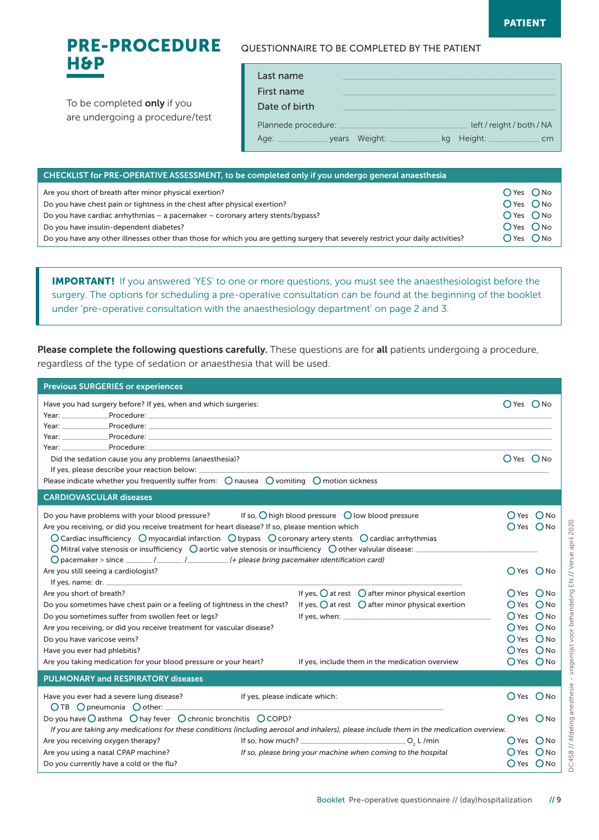

To be completed only if you are undergoing a procedure/test

#### QUESTIONNAIRE TO BE COMPLETED BY THE PATIENT

| Last name<br>First name |       |         |    |         |                           |
|-------------------------|-------|---------|----|---------|---------------------------|
| Date of birth           |       |         |    |         |                           |
| Plannede procedure:     |       |         |    |         | left / reight / both / NA |
| Age:                    | vears | Weight: | ka | Height: | cm                        |

| CHECKLIST for PRE-OPERATIVE ASSESSMENT, to be completed only if you undergo general anaesthesia                                  |                |
|----------------------------------------------------------------------------------------------------------------------------------|----------------|
| Are you short of breath after minor physical exertion?                                                                           | $O$ Yes $O$ No |
| Do you have chest pain or tightness in the chest after physical exertion?                                                        | O Yes O No     |
| Do you have cardiac arrhythmias - a pacemaker - coronary artery stents/bypass?                                                   | $O$ Yes $O$ No |
| Do you have insulin-dependent diabetes?                                                                                          | $O$ Yes $O$ No |
| Do you have any other illnesses other than those for which you are getting surgery that severely restrict your daily activities? | $O Yes$ $O No$ |

**IMPORTANT!** If you answered 'YES' to one or more questions, you must see the anaesthesiologist before the surgery. The options for scheduling a pre-operative consultation can be found at the beginning of the booklet under 'pre-operative consultation with the anaesthesiology department' on page 2 and 3.

Please complete the following questions carefully. These questions are for all patients undergoing a procedure, regardless of the type of sedation or anaesthesia that will be used.

| <b>Previous SURGERIES or experiences</b>                                                                                                                                                                                                      |                                                                     |                |
|-----------------------------------------------------------------------------------------------------------------------------------------------------------------------------------------------------------------------------------------------|---------------------------------------------------------------------|----------------|
| Have you had surgery before? If yes, when and which surgeries:                                                                                                                                                                                |                                                                     | $O$ Yes $O$ No |
|                                                                                                                                                                                                                                               |                                                                     |                |
| Year: Procedure: Procedure: Procedure: Procedure: Procedure: Procedure: Procedure: Procedure: Procedure: Procedure: Procedure: Procedure: Procedure: Procedure: Procedure: Procedure: Procedure: Procedure: Procedure: Procedu                |                                                                     |                |
| Did the sedation cause you any problems (anaesthesia)?                                                                                                                                                                                        |                                                                     | $O$ Yes $O$ No |
| If yes, please describe your reaction below:                                                                                                                                                                                                  |                                                                     |                |
| Please indicate whether you frequently suffer from: $\bigcirc$ nausea $\bigcirc$ vomiting $\bigcirc$ motion sickness                                                                                                                          |                                                                     |                |
| <b>CARDIOVASCULAR diseases</b>                                                                                                                                                                                                                |                                                                     |                |
| Do you have problems with your blood pressure?                                                                                                                                                                                                | If so, $\bigcirc$ high blood pressure $\bigcirc$ low blood pressure | $O$ Yes $O$ No |
| Are you receiving, or did you receive treatment for heart disease? If so, please mention which                                                                                                                                                |                                                                     | $O$ Yes $O$ No |
| $\bigcirc$ Cardiac insufficiency $\bigcirc$ myocardial infarction $\bigcirc$ bypass $\bigcirc$ coronary artery stents $\bigcirc$ cardiac arrhythmias                                                                                          |                                                                     |                |
| $\bigcirc$ Mitral valve stenosis or insufficiency $\bigcirc$ aortic valve stenosis or insufficiency $\bigcirc$ other valvular disease:                                                                                                        |                                                                     |                |
| $\bigcirc$ pacemaker > since ________ /__________ /_____________(+ please bring pacemaker identification card)                                                                                                                                |                                                                     |                |
| Are you still seeing a cardiologist?                                                                                                                                                                                                          |                                                                     | $O$ Yes $O$ No |
| Are you short of breath?                                                                                                                                                                                                                      | If yes, $\bigcirc$ at rest $\bigcirc$ after minor physical exertion | $O$ Yes $O$ No |
| Do you sometimes have chest pain or a feeling of tightness in the chest?                                                                                                                                                                      | If yes, $\bigcirc$ at rest $\bigcirc$ after minor physical exertion | $O$ Yes $O$ No |
| Do you sometimes suffer from swollen feet or legs?                                                                                                                                                                                            |                                                                     | $O$ Yes $O$ No |
| Are you receiving, or did you receive treatment for vascular disease?                                                                                                                                                                         |                                                                     | $O$ Yes $O$ No |
| Do you have varicose veins?                                                                                                                                                                                                                   |                                                                     | O Yes O No     |
| Have you ever had phlebitis?                                                                                                                                                                                                                  |                                                                     | $O$ Yes $O$ No |
| Are you taking medication for your blood pressure or your heart?                                                                                                                                                                              | If yes, include them in the medication overview                     | O Yes O No     |
| <b>PULMONARY and RESPIRATORY diseases</b>                                                                                                                                                                                                     |                                                                     |                |
| Have you ever had a severe lung disease?<br>If yes, please indicate which:                                                                                                                                                                    |                                                                     | $O$ Yes $O$ No |
| Do you have $\bigcirc$ asthma $\bigcirc$ hay fever $\bigcirc$ chronic bronchitis $\bigcirc$ COPD?<br>If you are taking any medications for these conditions (including aerosol and inhalers), please include them in the medication overview. |                                                                     | $O$ Yes $O$ No |
| Are you receiving oxygen therapy?                                                                                                                                                                                                             | If so, how much? $\qquad \qquad$ O, L/min                           | $O$ Yes $O$ No |
| Are you using a nasal CPAP machine?                                                                                                                                                                                                           | If so, please bring your machine when coming to the hospital        | $O$ Yes $O$ No |
| Do you currently have a cold or the flu?                                                                                                                                                                                                      |                                                                     | $O$ Yes $O$ No |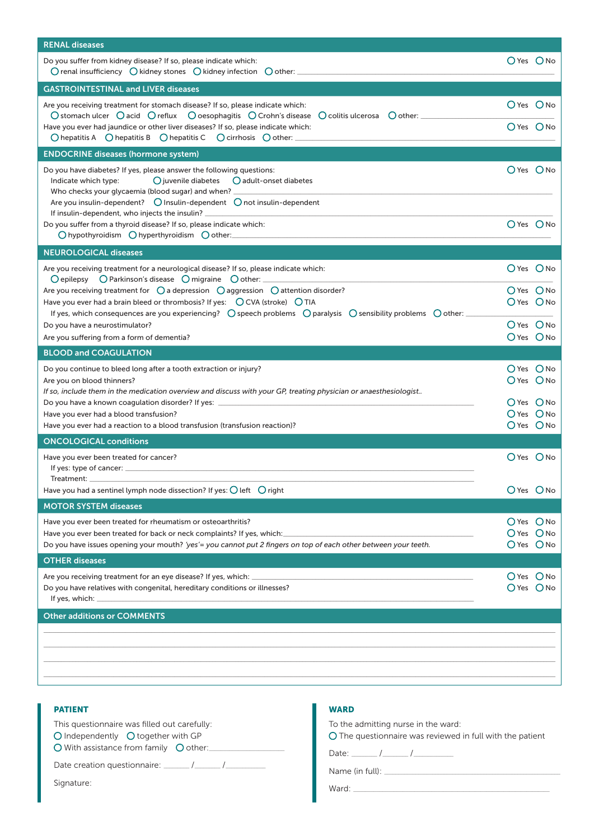| <b>RENAL diseases</b>                                                                                                                                                                                                                                                                                                                                                                                                                                                                                                                                                                                                                               |                                                                                    |  |
|-----------------------------------------------------------------------------------------------------------------------------------------------------------------------------------------------------------------------------------------------------------------------------------------------------------------------------------------------------------------------------------------------------------------------------------------------------------------------------------------------------------------------------------------------------------------------------------------------------------------------------------------------------|------------------------------------------------------------------------------------|--|
| Do you suffer from kidney disease? If so, please indicate which:<br>$\bigcirc$ renal insufficiency $\bigcirc$ kidney stones $\bigcirc$ kidney infection $\bigcirc$ other:                                                                                                                                                                                                                                                                                                                                                                                                                                                                           | $O$ Yes $O$ No                                                                     |  |
| <b>GASTROINTESTINAL and LIVER diseases</b>                                                                                                                                                                                                                                                                                                                                                                                                                                                                                                                                                                                                          |                                                                                    |  |
| Are you receiving treatment for stomach disease? If so, please indicate which:<br>$\bigcirc$ stomach ulcer $\bigcirc$ acid $\bigcirc$ reflux $\bigcirc$ oesophagitis $\bigcirc$ Crohn's disease<br>$\bigcirc$ colitis ulcerosa $\bigcirc$ other: $\_\_$<br>Have you ever had jaundice or other liver diseases? If so, please indicate which:<br>O hepatitis A $\bigcirc$ hepatitis B $\bigcirc$ hepatitis C $\bigcirc$ cirrhosis $\bigcirc$ other:                                                                                                                                                                                                  | O Yes O No<br>$O$ Yes $O$ No                                                       |  |
| <b>ENDOCRINE diseases (hormone system)</b>                                                                                                                                                                                                                                                                                                                                                                                                                                                                                                                                                                                                          |                                                                                    |  |
| Do you have diabetes? If yes, please answer the following questions:<br>$\bigcirc$ juvenile diabetes<br>$O$ adult-onset diabetes<br>Indicate which type:<br>Who checks your glycaemia (blood sugar) and when? ______________________________<br>Are you insulin-dependent? $\bigcirc$ Insulin-dependent $\bigcirc$ not insulin-dependent<br>If insulin-dependent, who injects the insulin?<br>Do you suffer from a thyroid disease? If so, please indicate which:                                                                                                                                                                                   | $O$ Yes $O$ No<br>$O$ Yes $O$ No                                                   |  |
| <b>NEUROLOGICAL diseases</b>                                                                                                                                                                                                                                                                                                                                                                                                                                                                                                                                                                                                                        |                                                                                    |  |
| Are you receiving treatment for a neurological disease? If so, please indicate which:<br>$\bigcirc$ epilepsy $\bigcirc$ Parkinson's disease $\bigcirc$ migraine $\bigcirc$ other:<br>Are you receiving treatment for $\bigcirc$ a depression $\bigcirc$ aggression $\bigcirc$ attention disorder?<br>Have you ever had a brain bleed or thrombosis? If yes: $\bigcirc$ CVA (stroke) $\bigcirc$ TIA<br>If yes, which consequences are you experiencing? $\bigcirc$ speech problems $\bigcirc$ paralysis $\bigcirc$ sensibility problems $\bigcirc$ other: $\bigcirc$<br>Do you have a neurostimulator?<br>Are you suffering from a form of dementia? | $O$ Yes $O$ No<br>$O$ Yes $O$ No<br>$O$ Yes $O$ No<br>$O$ Yes $O$ No<br>O Yes O No |  |
| <b>BLOOD and COAGULATION</b>                                                                                                                                                                                                                                                                                                                                                                                                                                                                                                                                                                                                                        |                                                                                    |  |
| Do you continue to bleed long after a tooth extraction or injury?<br>Are you on blood thinners?<br>If so, include them in the medication overview and discuss with your GP, treating physician or anaesthesiologist<br>Do you have a known coagulation disorder? If yes: _<br>the control of the control of the control of the control of the control of the control of<br>Have you ever had a blood transfusion?<br>Have you ever had a reaction to a blood transfusion (transfusion reaction)?                                                                                                                                                    | $O$ Yes $O$ No<br>O Yes O No<br>$O$ Yes $O$ No<br>$O$ Yes $O$ No<br>O Yes O No     |  |
| <b>ONCOLOGICAL conditions</b>                                                                                                                                                                                                                                                                                                                                                                                                                                                                                                                                                                                                                       |                                                                                    |  |
| Have you ever been treated for cancer?<br>Ireatment:<br>Have you had a sentinel lymph node dissection? If yes: $\bigcirc$ left $\bigcirc$ right                                                                                                                                                                                                                                                                                                                                                                                                                                                                                                     | $O$ Yes $O$ No<br>O Yes O No                                                       |  |
| <b>MOTOR SYSTEM diseases</b>                                                                                                                                                                                                                                                                                                                                                                                                                                                                                                                                                                                                                        |                                                                                    |  |
| Have you ever been treated for rheumatism or osteoarthritis?<br>Have you ever been treated for back or neck complaints? If yes, which:<br>Do you have issues opening your mouth? 'yes'= you cannot put 2 fingers on top of each other between your teeth.                                                                                                                                                                                                                                                                                                                                                                                           | $O$ Yes $O$ No<br>OYes ONo<br>OYes ONo                                             |  |
| <b>OTHER diseases</b>                                                                                                                                                                                                                                                                                                                                                                                                                                                                                                                                                                                                                               |                                                                                    |  |
| Do you have relatives with congenital, hereditary conditions or illnesses?<br>If yes, which: $\equiv$                                                                                                                                                                                                                                                                                                                                                                                                                                                                                                                                               | $O$ Yes $O$ No<br>O Yes O No                                                       |  |
| <b>Other additions or COMMENTS</b>                                                                                                                                                                                                                                                                                                                                                                                                                                                                                                                                                                                                                  |                                                                                    |  |
|                                                                                                                                                                                                                                                                                                                                                                                                                                                                                                                                                                                                                                                     |                                                                                    |  |

#### PATIENT

| This questionnaire was filled out carefully:<br>$\bigcirc$ Independently $\bigcirc$ together with GP                          |
|-------------------------------------------------------------------------------------------------------------------------------|
| $\bigcirc$ With assistance from family $\bigcirc$ other:                                                                      |
| Date creation questionnaire: $\frac{1}{\sqrt{1-\frac{1}{2}}}\sqrt{1-\frac{1}{2-\frac{1}{2}}\sqrt{1-\frac{1}{2-\frac{1}{2}}}}$ |
|                                                                                                                               |

#### **WARD**

To the admitting nurse in the ward:

O The questionnaire was reviewed in full with the patient

Date: \_\_\_\_\_\_\_\_\_ /\_\_\_\_\_\_\_\_\_ /\_\_\_\_\_\_\_\_\_\_\_\_\_\_

Name (in full): \_\_\_\_\_\_\_\_\_\_\_\_\_\_\_\_\_\_\_\_\_\_\_\_\_\_\_\_\_\_\_\_\_\_\_\_\_\_\_\_\_\_\_\_\_\_\_\_\_\_\_\_\_\_\_\_\_\_\_\_\_\_

Ward: \_\_\_\_\_\_\_\_\_\_\_\_\_\_\_\_\_\_\_\_\_\_\_\_\_\_\_\_\_\_\_\_\_\_\_\_\_\_\_\_\_\_\_\_\_\_\_\_\_\_\_\_\_\_\_\_\_\_\_\_\_\_\_\_\_\_\_\_

Signature: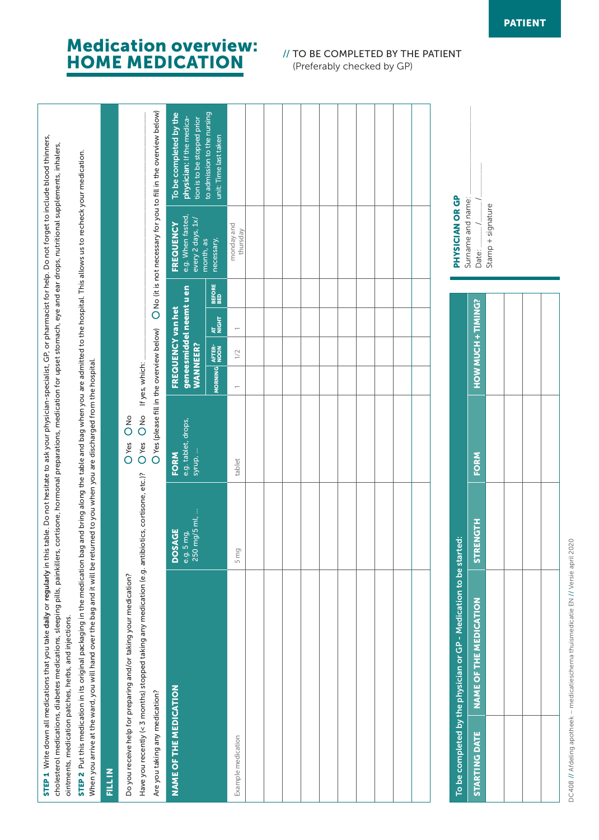|                                | STEP 1 Write down all medications that you take daily or regularly in this table. Do not hesitate to ask your physician-specialist, GP, or pharmacist for help. Do not forget to include blood thinners,<br>cholesterol medications, diabetes medications, sleeping pills, painkillers, cortisone, hormonal preparations, medication for upset stomach, eye and ear drops, nutritional supplements, inhalers,<br>STEP 2 Put this medication in its original packaging in the medication bag and bring along the table and bag when you are admitted to the hospital. This allows us to recheck your medication.<br>When you arrive at the ward, you will hand over the bag and it will be returned to you when you are discharged from the hospital.<br>ointments, medication patches, herbs, and injections. |                                      |                                            |                 |                    |                                                                                            |                                                                         |                                                                                    |
|--------------------------------|---------------------------------------------------------------------------------------------------------------------------------------------------------------------------------------------------------------------------------------------------------------------------------------------------------------------------------------------------------------------------------------------------------------------------------------------------------------------------------------------------------------------------------------------------------------------------------------------------------------------------------------------------------------------------------------------------------------------------------------------------------------------------------------------------------------|--------------------------------------|--------------------------------------------|-----------------|--------------------|--------------------------------------------------------------------------------------------|-------------------------------------------------------------------------|------------------------------------------------------------------------------------|
| FILL IN                        |                                                                                                                                                                                                                                                                                                                                                                                                                                                                                                                                                                                                                                                                                                                                                                                                               |                                      |                                            |                 |                    |                                                                                            |                                                                         |                                                                                    |
|                                | Have you recently (< 3 months) stopped taking any medication (e.g. antibiotics, cortisone, etc.)?<br>Do you receive help for preparing and/or taking your medication?                                                                                                                                                                                                                                                                                                                                                                                                                                                                                                                                                                                                                                         |                                      | $\frac{6}{5}$<br>os<br>O<br>O Yes<br>O Yes | If yes, which:  |                    |                                                                                            |                                                                         |                                                                                    |
| Are you taking any medication? |                                                                                                                                                                                                                                                                                                                                                                                                                                                                                                                                                                                                                                                                                                                                                                                                               |                                      | O Yes (please fill in the overview below)  |                 |                    |                                                                                            |                                                                         | O No (it is not necessary for you to fill in the overview below)                   |
| <b>NAME OF THE MEDICATION</b>  |                                                                                                                                                                                                                                                                                                                                                                                                                                                                                                                                                                                                                                                                                                                                                                                                               | 250 mg/5 ml,<br>DOSAGE<br>e.g. 5 mg, | e.g. tablet, drops,<br>syrup,<br>FORM      | <b>WANNEER?</b> | FREQUENCY van het  | geneesmiddel neemt u en                                                                    | e.g. When fasted,<br>every 2 days, 1x/<br><b>FREQUENCY</b><br>month, as | To be completed by the<br>physician: If the medica-<br>tion is to be stopped prior |
|                                |                                                                                                                                                                                                                                                                                                                                                                                                                                                                                                                                                                                                                                                                                                                                                                                                               |                                      |                                            | MORNING         | AFTER-<br>NOON     | BEFORE<br>BED<br>$\frac{\mathbf{A}\mathbf{T}}{\mathbf{N} \mathbf{I}\mathbf{G}+\mathbf{T}}$ | necessary,                                                              | to admission to the nursing<br>unit: Time last taken                               |
| Example medication             |                                                                                                                                                                                                                                                                                                                                                                                                                                                                                                                                                                                                                                                                                                                                                                                                               | 5 mg                                 | tablet                                     |                 | 1/2                |                                                                                            | monday and<br>thursday                                                  |                                                                                    |
|                                |                                                                                                                                                                                                                                                                                                                                                                                                                                                                                                                                                                                                                                                                                                                                                                                                               |                                      |                                            |                 |                    |                                                                                            |                                                                         |                                                                                    |
|                                |                                                                                                                                                                                                                                                                                                                                                                                                                                                                                                                                                                                                                                                                                                                                                                                                               |                                      |                                            |                 |                    |                                                                                            |                                                                         |                                                                                    |
|                                |                                                                                                                                                                                                                                                                                                                                                                                                                                                                                                                                                                                                                                                                                                                                                                                                               |                                      |                                            |                 |                    |                                                                                            |                                                                         |                                                                                    |
|                                |                                                                                                                                                                                                                                                                                                                                                                                                                                                                                                                                                                                                                                                                                                                                                                                                               |                                      |                                            |                 |                    |                                                                                            |                                                                         |                                                                                    |
|                                |                                                                                                                                                                                                                                                                                                                                                                                                                                                                                                                                                                                                                                                                                                                                                                                                               |                                      |                                            |                 |                    |                                                                                            |                                                                         |                                                                                    |
|                                |                                                                                                                                                                                                                                                                                                                                                                                                                                                                                                                                                                                                                                                                                                                                                                                                               |                                      |                                            |                 |                    |                                                                                            |                                                                         |                                                                                    |
|                                |                                                                                                                                                                                                                                                                                                                                                                                                                                                                                                                                                                                                                                                                                                                                                                                                               |                                      |                                            |                 |                    |                                                                                            |                                                                         |                                                                                    |
|                                |                                                                                                                                                                                                                                                                                                                                                                                                                                                                                                                                                                                                                                                                                                                                                                                                               |                                      |                                            |                 |                    |                                                                                            |                                                                         |                                                                                    |
|                                |                                                                                                                                                                                                                                                                                                                                                                                                                                                                                                                                                                                                                                                                                                                                                                                                               |                                      |                                            |                 |                    |                                                                                            |                                                                         |                                                                                    |
|                                |                                                                                                                                                                                                                                                                                                                                                                                                                                                                                                                                                                                                                                                                                                                                                                                                               |                                      |                                            |                 |                    |                                                                                            |                                                                         |                                                                                    |
|                                | To be completed by the physician or GP - Medication to be started:                                                                                                                                                                                                                                                                                                                                                                                                                                                                                                                                                                                                                                                                                                                                            |                                      |                                            |                 |                    |                                                                                            | PHYSICIAN OR GP                                                         |                                                                                    |
| <b>STARTING DATE</b>           | <b>NAME OF THE MEDICATION</b>                                                                                                                                                                                                                                                                                                                                                                                                                                                                                                                                                                                                                                                                                                                                                                                 | <b>HO</b><br><b>STREN</b>            | <b>FORM</b>                                |                 | HOW MUCH + TIMING? |                                                                                            | Surname and name:<br>Date:                                              |                                                                                    |
|                                |                                                                                                                                                                                                                                                                                                                                                                                                                                                                                                                                                                                                                                                                                                                                                                                                               |                                      |                                            |                 |                    |                                                                                            | Stamp + signature                                                       |                                                                                    |
|                                |                                                                                                                                                                                                                                                                                                                                                                                                                                                                                                                                                                                                                                                                                                                                                                                                               |                                      |                                            |                 |                    |                                                                                            |                                                                         |                                                                                    |
|                                |                                                                                                                                                                                                                                                                                                                                                                                                                                                                                                                                                                                                                                                                                                                                                                                                               |                                      |                                            |                 |                    |                                                                                            |                                                                         |                                                                                    |

## Medication overview: **HOME MEDICATION** // TO BE COMPLETED BY THE PATIENT

(Preferably checked by GP)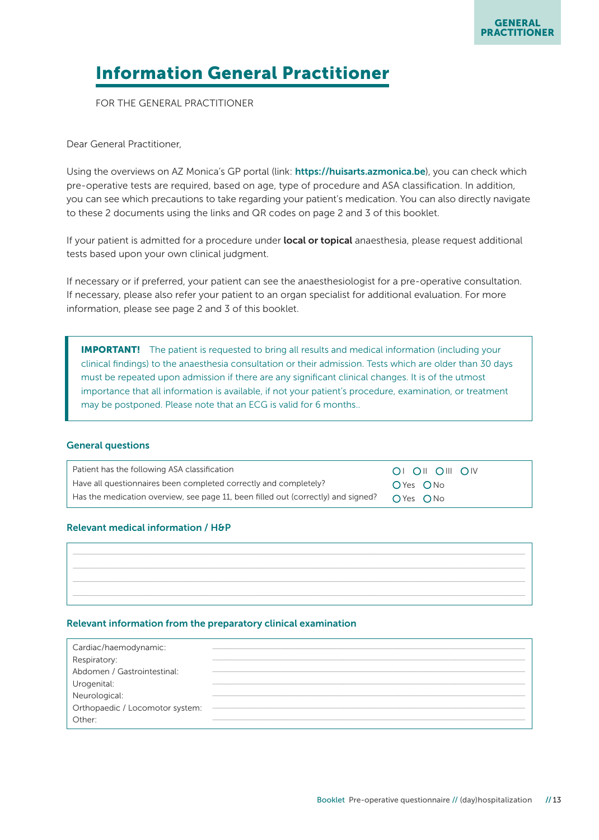## **Information General Practitioner**

FOR THE GENERAL PRACTITIONER

Dear General Practitioner,

Using the overviews on AZ Monica's GP portal (link: https://huisarts.azmonica.be), you can check which pre-operative tests are required, based on age, type of procedure and ASA classification. In addition, you can see which precautions to take regarding your patient's medication. You can also directly navigate to these 2 documents using the links and QR codes on page 2 and 3 of this booklet.

If your patient is admitted for a procedure under local or topical anaesthesia, please request additional tests based upon your own clinical judgment.

If necessary or if preferred, your patient can see the anaesthesiologist for a pre-operative consultation. If necessary, please also refer your patient to an organ specialist for additional evaluation. For more information, please see page 2 and 3 of this booklet.

**IMPORTANT!** The patient is requested to bring all results and medical information (including your clinical findings) to the anaesthesia consultation or their admission. Tests which are older than 30 days must be repeated upon admission if there are any significant clinical changes. It is of the utmost importance that all information is available, if not your patient's procedure, examination, or treatment may be postponed. Please note that an ECG is valid for 6 months..

#### **General questions**

| Patient has the following ASA classification                                      | OI OII OIII OIV |
|-----------------------------------------------------------------------------------|-----------------|
| Have all questionnaires been completed correctly and completely?                  | $OYes$ $ONo$    |
| Has the medication overview, see page 11, been filled out (correctly) and signed? | $OYes$ $ONo$    |

#### **Relevant medical information / H&P**

#### Relevant information from the preparatory clinical examination

| Cardiac/haemodynamic:           |  |
|---------------------------------|--|
| Respiratory:                    |  |
| Abdomen / Gastrointestinal:     |  |
| Urogenital:                     |  |
| Neurological:                   |  |
| Orthopaedic / Locomotor system: |  |
| Other:                          |  |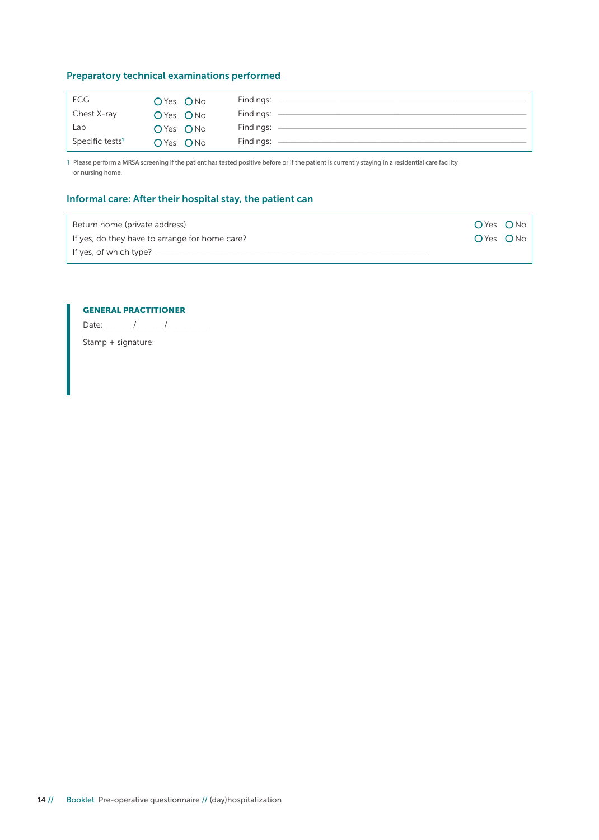#### Preparatory technical examinations performed

| <b>ECG</b>                  | O'Yes ONo    | Findings: |
|-----------------------------|--------------|-----------|
| Chest X-ray                 | $OYes$ $ONo$ | Findings: |
| Lab                         | $OYes$ $ONo$ | Findings: |
| Specific tests <sup>1</sup> | $OYes$ $ONo$ | Findings: |

1 Please perform a MRSA screening if the patient has tested positive before or if the patient is currently staying in a residential care facility or nursing home.

#### Informal care: After their hospital stay, the patient can

| Return home (private address)                  | $OYes$ $ONo$ |  |
|------------------------------------------------|--------------|--|
| If yes, do they have to arrange for home care? | O'Yes ONo    |  |
| If yes, of which type?                         |              |  |

#### **GENERAL PRACTITIONER**

Date: \_\_\_\_\_\_\_ /\_\_\_\_\_\_ /\_\_\_\_\_

Stamp + signature: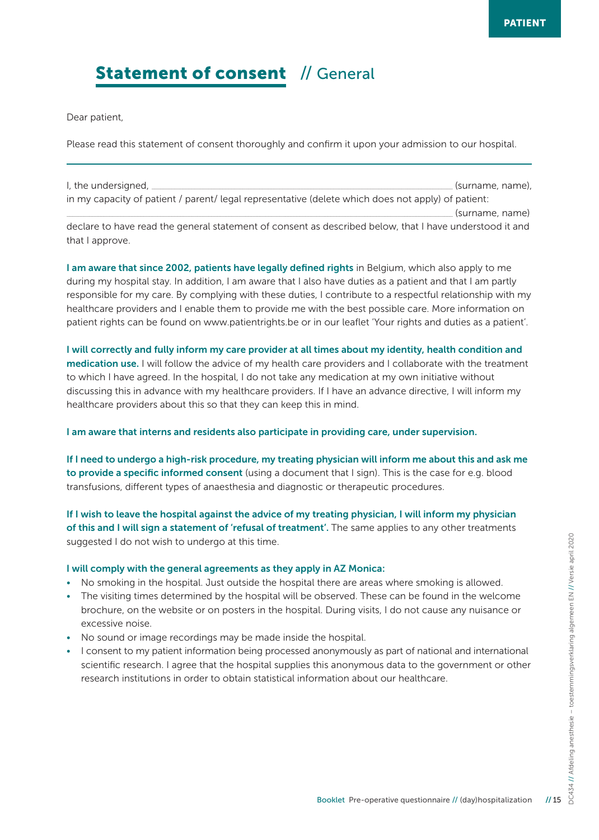## Statement of consent // General

Dear patient,

Please read this statement of consent thoroughly and confirm it upon your admission to our hospital.

I, the undersigned, \_\_\_\_\_\_\_\_\_\_\_\_\_\_\_\_\_\_\_\_\_\_\_\_\_\_\_\_\_\_\_\_\_\_\_\_\_\_\_\_\_\_\_\_\_\_\_\_\_\_\_\_\_\_\_\_\_\_\_\_\_\_\_\_\_\_\_\_\_\_\_\_\_\_\_\_\_\_\_\_\_\_\_\_\_\_\_\_\_\_\_\_\_\_\_\_\_\_\_\_\_\_\_\_\_\_ (surname, name), in my capacity of patient / parent/ legal representative (delete which does not apply) of patient:  $\_$  (surname, name) declare to have read the general statement of consent as described below, that I have understood it and that I approve.

I am aware that since 2002, patients have legally defined rights in Belgium, which also apply to me during my hospital stay. In addition, I am aware that I also have duties as a patient and that I am partly responsible for my care. By complying with these duties, I contribute to a respectful relationship with my healthcare providers and I enable them to provide me with the best possible care. More information on patient rights can be found on www.patientrights.be or in our leaflet 'Your rights and duties as a patient'.

I will correctly and fully inform my care provider at all times about my identity, health condition and medication use. I will follow the advice of my health care providers and I collaborate with the treatment to which I have agreed. In the hospital, I do not take any medication at my own initiative without discussing this in advance with my healthcare providers. If I have an advance directive, I will inform my healthcare providers about this so that they can keep this in mind.

I am aware that interns and residents also participate in providing care, under supervision.

If I need to undergo a high-risk procedure, my treating physician will inform me about this and ask me to provide a specific informed consent (using a document that I sign). This is the case for e.g. blood transfusions, different types of anaesthesia and diagnostic or therapeutic procedures.

If I wish to leave the hospital against the advice of my treating physician, I will inform my physician of this and I will sign a statement of 'refusal of treatment'. The same applies to any other treatments suggested I do not wish to undergo at this time.

#### I will comply with the general agreements as they apply in AZ Monica:

- No smoking in the hospital. Just outside the hospital there are areas where smoking is allowed.
- The visiting times determined by the hospital will be observed. These can be found in the welcome brochure, on the website or on posters in the hospital. During visits, I do not cause any nuisance or excessive noise.
- No sound or image recordings may be made inside the hospital.
- I consent to my patient information being processed anonymously as part of national and international scientific research. I agree that the hospital supplies this anonymous data to the government or other research institutions in order to obtain statistical information about our healthcare.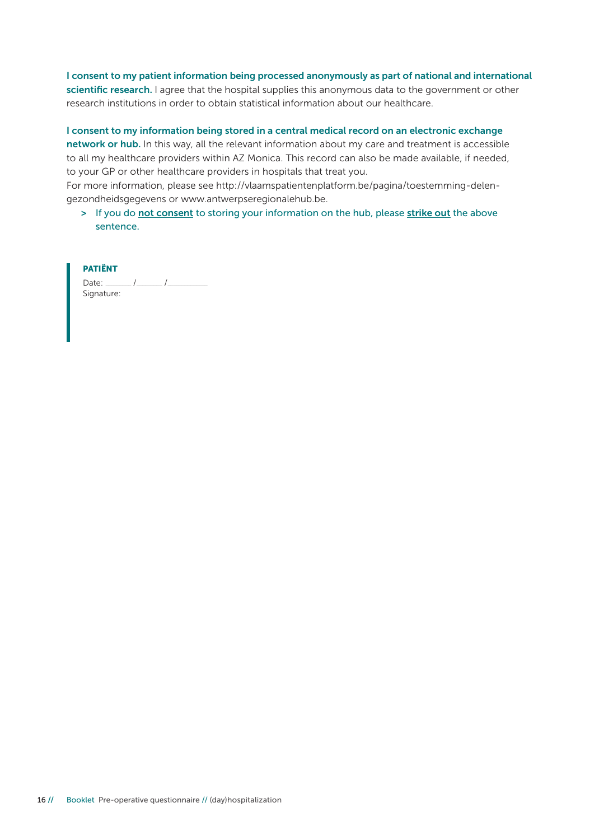### I consent to my patient information being processed anonymously as part of national and international scientific research. I agree that the hospital supplies this anonymous data to the government or other research institutions in order to obtain statistical information about our healthcare.

I consent to my information being stored in a central medical record on an electronic exchange

network or hub. In this way, all the relevant information about my care and treatment is accessible to all my healthcare providers within AZ Monica. This record can also be made available, if needed, to your GP or other healthcare providers in hospitals that treat you.

For more information, please see http://vlaamspatientenplatform.be/pagina/toestemming-delengezondheidsgegevens or www.antwerpseregionalehub.be.

> If you do not consent to storing your information on the hub, please strike out the above sentence.

PATIËNT Date: \_\_\_\_\_\_\_\_\_ /\_\_\_\_\_\_\_\_\_ /\_\_\_\_\_\_\_\_\_\_\_\_\_\_ Signature: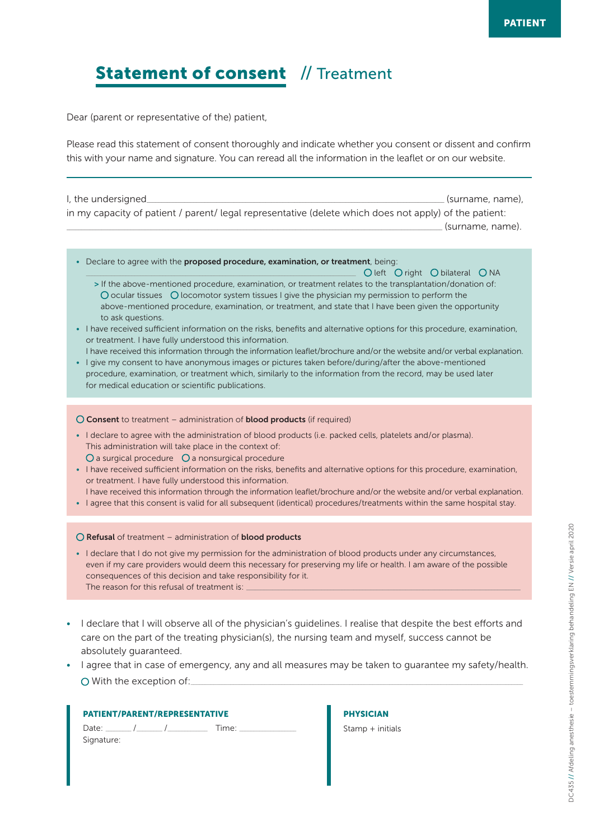## Statement of consent // Treatment

Dear (parent or representative of the) patient,

Please read this statement of consent thoroughly and indicate whether you consent or dissent and confirm this with your name and signature. You can reread all the information in the leaflet or on our website.

I, the undersigned and the same of the same of the same of the same of the same of the same of the same of the same of the same of the same of the same of the same of the same of the same of the same of the same of the sam in my capacity of patient / parent/ legal representative (delete which does not apply) of the patient:  $\Box$  (surname, name).

• Declare to agree with the proposed procedure, examination, or treatment, being:

 $O$  left  $O$  right  $O$  bilateral  $O$  NA > If the above-mentioned procedure, examination, or treatment relates to the transplantation/donation of:  $\overline{O}$  ocular tissues  $\overline{O}$  locomotor system tissues I give the physician my permission to perform the above-mentioned procedure, examination, or treatment, and state that I have been given the opportunity to ask questions.

- I have received sufficient information on the risks, benefits and alternative options for this procedure, examination, or treatment. I have fully understood this information.
- I have received this information through the information leaflet/brochure and/or the website and/or verbal explanation. • I give my consent to have anonymous images or pictures taken before/during/after the above-mentioned procedure, examination, or treatment which, similarly to the information from the record, may be used later for medical education or scientific publications.

#### $\bigcirc$  Consent to treatment – administration of blood products (if required)

- I declare to agree with the administration of blood products (i.e. packed cells, platelets and/or plasma). This administration will take place in the context of:
	- $\bigcirc$  a surgical procedure  $\bigcirc$  a nonsurgical procedure
- I have received sufficient information on the risks, benefits and alternative options for this procedure, examination, or treatment. I have fully understood this information.
- I have received this information through the information leaflet/brochure and/or the website and/or verbal explanation.
- I agree that this consent is valid for all subsequent (identical) procedures/treatments within the same hospital stay.

#### $\bigcirc$  Refusal of treatment – administration of blood products

- I declare that I do not give my permission for the administration of blood products under any circumstances, even if my care providers would deem this necessary for preserving my life or health. I am aware of the possible consequences of this decision and take responsibility for it. The reason for this refusal of treatment is:
- I declare that I will observe all of the physician's guidelines. I realise that despite the best efforts and care on the part of the treating physician(s), the nursing team and myself, success cannot be absolutely guaranteed.
- I agree that in case of emergency, any and all measures may be taken to guarantee my safety/health.  $\bigcirc$  With the exception of:

| <b>PATIENT/PARENT/REPRESENTATIVE</b> |       |
|--------------------------------------|-------|
| Date: /                              | Time: |
| Signature:                           |       |

PHYSICIAN Stamp + initials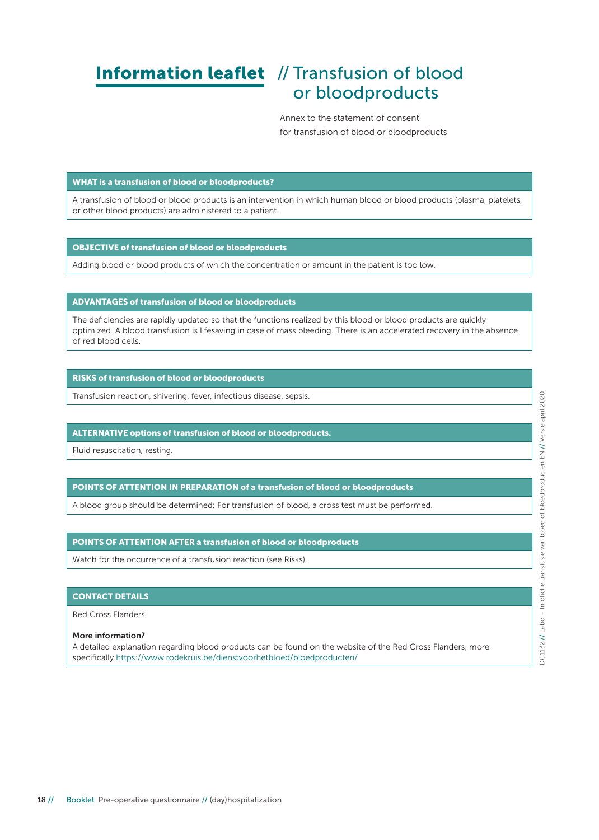## Information leaflet // Transfusion of blood or bloodproducts

Annex to the statement of consent for transfusion of blood or bloodproducts

#### WHAT is a transfusion of blood or bloodproducts?

A transfusion of blood or blood products is an intervention in which human blood or blood products (plasma, platelets, or other blood products) are administered to a patient.

#### OBJECTIVE of transfusion of blood or bloodproducts

Adding blood or blood products of which the concentration or amount in the patient is too low.

#### ADVANTAGES of transfusion of blood or bloodproducts

The deficiencies are rapidly updated so that the functions realized by this blood or blood products are quickly optimized. A blood transfusion is lifesaving in case of mass bleeding. There is an accelerated recovery in the absence of red blood cells.

#### RISKS of transfusion of blood or bloodproducts

Transfusion reaction, shivering, fever, infectious disease, sepsis.

#### ALTERNATIVE options of transfusion of blood or bloodproducts.

Fluid resuscitation, resting.

#### POINTS OF ATTENTION IN PREPARATION of a transfusion of blood or bloodproducts

A blood group should be determined; For transfusion of blood, a cross test must be performed.

#### POINTS OF ATTENTION AFTER a transfusion of blood or bloodproducts

Watch for the occurrence of a transfusion reaction (see Risks).

#### CONTACT DETAILS

Red Cross Flanders.

#### More information?

A detailed explanation regarding blood products can be found on the website of the Red Cross Flanders, more specifically https://www.rodekruis.be/dienstvoorhetbloed/bloedproducten/

DC1132 // Labo - Infofiche transfusie van bloed of bloedproducten EN // Versie april 2020 DC1132 // Labo – Infofiche transfusie van bloed of bloedproducten EN // Versie april 2020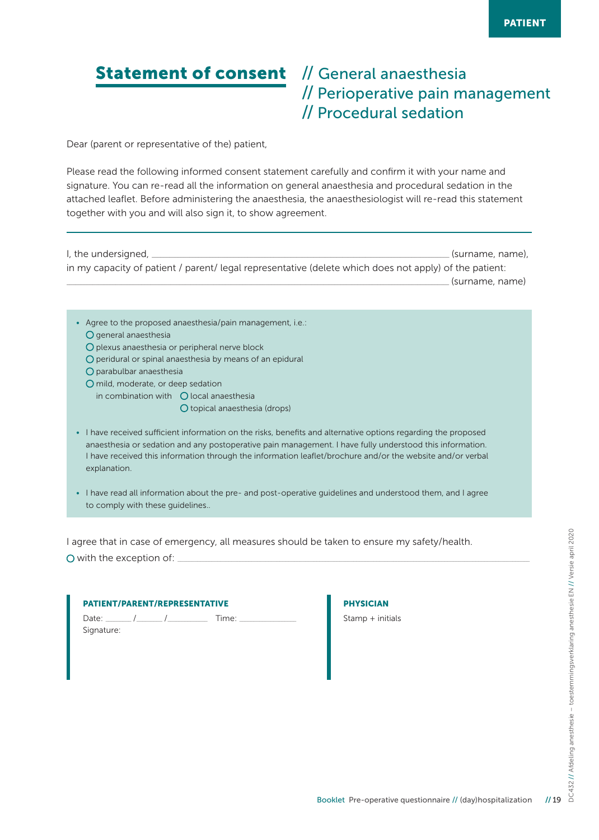## Statement of consent // General anaesthesia

// Perioperative pain management // Procedural sedation

Dear (parent or representative of the) patient,

Please read the following informed consent statement carefully and confirm it with your name and signature. You can re-read all the information on general anaesthesia and procedural sedation in the attached leaflet. Before administering the anaesthesia, the anaesthesiologist will re-read this statement together with you and will also sign it, to show agreement.

| I, the undersigned, $\equiv$                                                                           | (surname, name), |
|--------------------------------------------------------------------------------------------------------|------------------|
| in my capacity of patient / parent/ legal representative (delete which does not apply) of the patient: |                  |
|                                                                                                        | (surname, name)  |

- Agree to the proposed anaesthesia/pain management, i.e.:
	- O general anaesthesia
	- O plexus anaesthesia or peripheral nerve block
	- $O$  peridural or spinal anaesthesia by means of an epidural
	- parabulbar anaesthesia
	- O mild, moderate, or deep sedation in combination with  $\bigcirc$  local anaesthesia O topical anaesthesia (drops)
- I have received sufficient information on the risks, benefits and alternative options regarding the proposed anaesthesia or sedation and any postoperative pain management. I have fully understood this information. I have received this information through the information leaflet/brochure and/or the website and/or verbal explanation.
- I have read all information about the pre- and post-operative guidelines and understood them, and I agree to comply with these guidelines..

I agree that in case of emergency, all measures should be taken to ensure my safety/health.  $\bigcirc$  with the exception of:

| <b>PATIENT/PARENT/REPRESENTATIVE</b> |  |                   |  |  |
|--------------------------------------|--|-------------------|--|--|
| Date: $\sqrt{2}$<br>Signature:       |  | Time <sup>.</sup> |  |  |

#### PHYSICIAN

Stamp + initials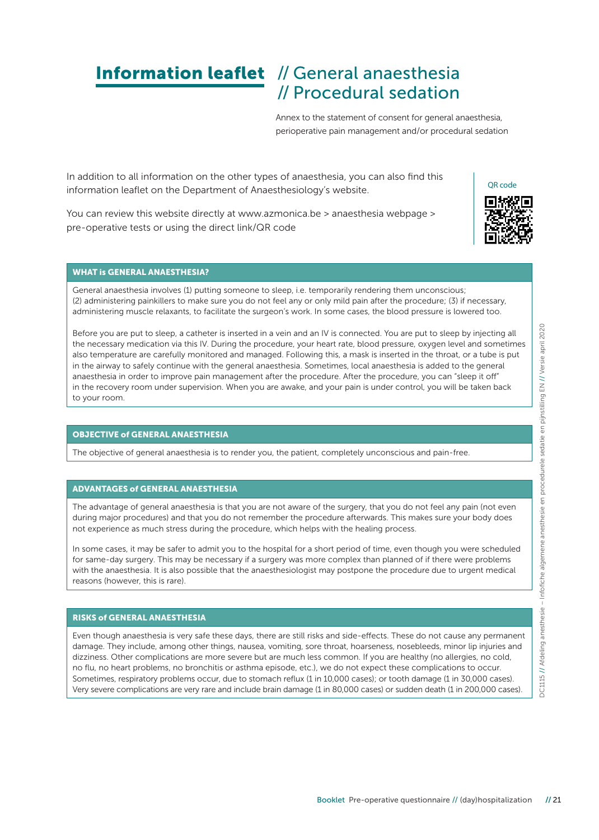## Information leaflet // General anaesthesia // Procedural sedation

Annex to the statement of consent for general anaesthesia, perioperative pain management and/or procedural sedation

In addition to all information on the other types of anaesthesia, you can also find this information leaflet on the Department of Anaesthesiology's website.

You can review this website directly at www.azmonica.be > anaesthesia webpage > pre-operative tests or using the direct link/QR code



#### WHAT is GENERAL ANAESTHESIA?

General anaesthesia involves (1) putting someone to sleep, i.e. temporarily rendering them unconscious; (2) administering painkillers to make sure you do not feel any or only mild pain after the procedure; (3) if necessary, administering muscle relaxants, to facilitate the surgeon's work. In some cases, the blood pressure is lowered too.

Before you are put to sleep, a catheter is inserted in a vein and an IV is connected. You are put to sleep by injecting all the necessary medication via this IV. During the procedure, your heart rate, blood pressure, oxygen level and sometimes also temperature are carefully monitored and managed. Following this, a mask is inserted in the throat, or a tube is put in the airway to safely continue with the general anaesthesia. Sometimes, local anaesthesia is added to the general anaesthesia in order to improve pain management after the procedure. After the procedure, you can "sleep it off" in the recovery room under supervision. When you are awake, and your pain is under control, you will be taken back to your room.

#### OBJECTIVE of GENERAL ANAESTHESIA

The objective of general anaesthesia is to render you, the patient, completely unconscious and pain-free.

#### ADVANTAGES of GENERAL ANAESTHESIA

The advantage of general anaesthesia is that you are not aware of the surgery, that you do not feel any pain (not even during major procedures) and that you do not remember the procedure afterwards. This makes sure your body does not experience as much stress during the procedure, which helps with the healing process.

In some cases, it may be safer to admit you to the hospital for a short period of time, even though you were scheduled for same-day surgery. This may be necessary if a surgery was more complex than planned of if there were problems with the anaesthesia. It is also possible that the anaesthesiologist may postpone the procedure due to urgent medical reasons (however, this is rare).

#### RISKS of GENERAL ANAESTHESIA

Even though anaesthesia is very safe these days, there are still risks and side-effects. These do not cause any permanent damage. They include, among other things, nausea, vomiting, sore throat, hoarseness, nosebleeds, minor lip injuries and dizziness. Other complications are more severe but are much less common. If you are healthy (no allergies, no cold, no flu, no heart problems, no bronchitis or asthma episode, etc.), we do not expect these complications to occur. Sometimes, respiratory problems occur, due to stomach reflux (1 in 10,000 cases); or tooth damage (1 in 30,000 cases). Very severe complications are very rare and include brain damage (1 in 80,000 cases) or sudden death (1 in 200,000 cases).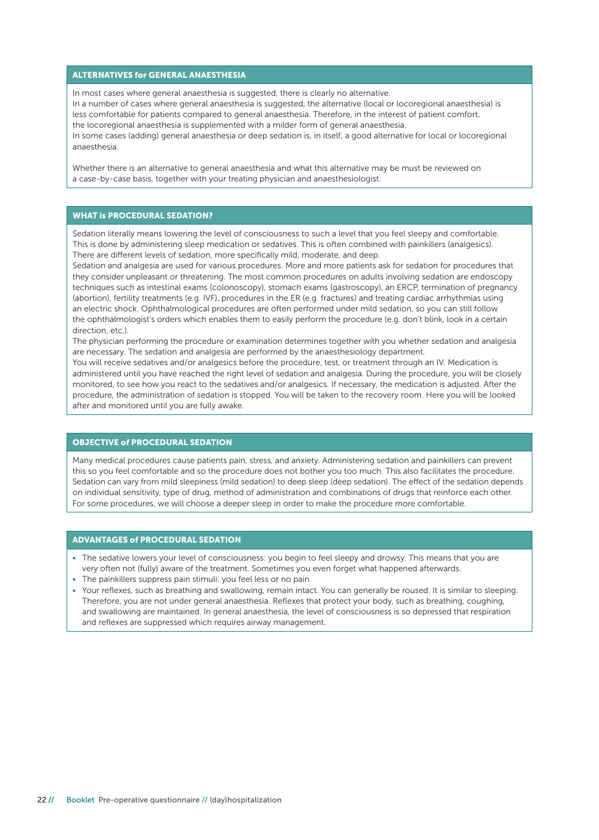#### ALTERNATIVES for GENERAL ANAESTHESIA

In most cases where general anaesthesia is suggested, there is clearly no alternative.

In a number of cases where general anaesthesia is suggested, the alternative (local or locoregional anaesthesia) is less comfortable for patients compared to general anaesthesia. Therefore, in the interest of patient comfort, the locoregional anaesthesia is supplemented with a milder form of general anaesthesia. In some cases (adding) general anaesthesia or deep sedation is, in itself, a good alternative for local or locoregional

anaesthesia.

Whether there is an alternative to general anaesthesia and what this alternative may be must be reviewed on a case-by-case basis, together with your treating physician and anaesthesiologist.

#### WHAT is PROCEDURAL SEDATION?

Sedation literally means lowering the level of consciousness to such a level that you feel sleepy and comfortable. This is done by administering sleep medication or sedatives. This is often combined with painkillers (analgesics). There are different levels of sedation, more specifically mild, moderate, and deep.

Sedation and analgesia are used for various procedures. More and more patients ask for sedation for procedures that they consider unpleasant or threatening. The most common procedures on adults involving sedation are endoscopy techniques such as intestinal exams (colonoscopy), stomach exams (gastroscopy), an ERCP, termination of pregnancy (abortion), fertility treatments (e.g. IVF), procedures in the ER (e.g. fractures) and treating cardiac arrhythmias using an electric shock. Ophthalmological procedures are often performed under mild sedation, so you can still follow the ophthalmologist's orders which enables them to easily perform the procedure (e.g. don't blink, look in a certain direction, etc.).

The physician performing the procedure or examination determines together with you whether sedation and analgesia are necessary. The sedation and analgesia are performed by the anaesthesiology department.

You will receive sedatives and/or analgesics before the procedure, test, or treatment through an IV. Medication is administered until you have reached the right level of sedation and analgesia. During the procedure, you will be closely monitored, to see how you react to the sedatives and/or analgesics. If necessary, the medication is adjusted. After the procedure, the administration of sedation is stopped. You will be taken to the recovery room. Here you will be looked after and monitored until you are fully awake.

#### OBJECTIVE of PROCEDURAL SEDATION

Many medical procedures cause patients pain, stress, and anxiety. Administering sedation and painkillers can prevent this so you feel comfortable and so the procedure does not bother you too much. This also facilitates the procedure. Sedation can vary from mild sleepiness (mild sedation) to deep sleep (deep sedation). The effect of the sedation depends on individual sensitivity, type of drug, method of administration and combinations of drugs that reinforce each other. For some procedures, we will choose a deeper sleep in order to make the procedure more comfortable.

#### ADVANTAGES of PROCEDURAL SEDATION

- The sedative lowers your level of consciousness: you begin to feel sleepy and drowsy. This means that you are very often not (fully) aware of the treatment. Sometimes you even forget what happened afterwards.
- The painkillers suppress pain stimuli: you feel less or no pain.
- Your reflexes, such as breathing and swallowing, remain intact. You can generally be roused. It is similar to sleeping. Therefore, you are not under general anaesthesia. Reflexes that protect your body, such as breathing, coughing, and swallowing are maintained. In general anaesthesia, the level of consciousness is so depressed that respiration and reflexes are suppressed which requires airway management.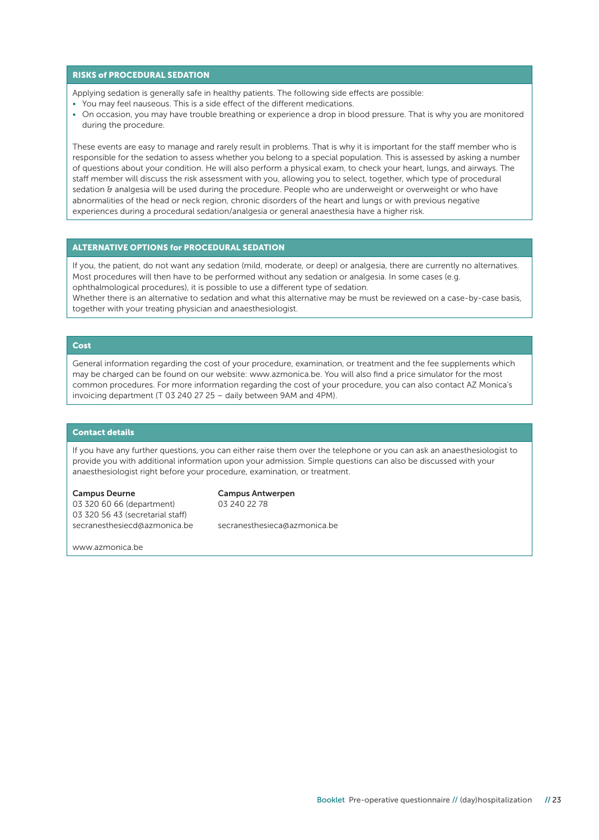#### RISKS of PROCEDURAL SEDATION

Applying sedation is generally safe in healthy patients. The following side effects are possible:

- You may feel nauseous. This is a side effect of the different medications.
- On occasion, you may have trouble breathing or experience a drop in blood pressure. That is why you are monitored during the procedure.

These events are easy to manage and rarely result in problems. That is why it is important for the staff member who is responsible for the sedation to assess whether you belong to a special population. This is assessed by asking a number of questions about your condition. He will also perform a physical exam, to check your heart, lungs, and airways. The staff member will discuss the risk assessment with you, allowing you to select, together, which type of procedural sedation & analgesia will be used during the procedure. People who are underweight or overweight or who have abnormalities of the head or neck region, chronic disorders of the heart and lungs or with previous negative experiences during a procedural sedation/analgesia or general anaesthesia have a higher risk.

#### ALTERNATIVE OPTIONS for PROCEDURAL SEDATION

If you, the patient, do not want any sedation (mild, moderate, or deep) or analgesia, there are currently no alternatives. Most procedures will then have to be performed without any sedation or analgesia. In some cases (e.g. ophthalmological procedures), it is possible to use a different type of sedation.

Whether there is an alternative to sedation and what this alternative may be must be reviewed on a case-by-case basis, together with your treating physician and anaesthesiologist.

#### **Cost**

General information regarding the cost of your procedure, examination, or treatment and the fee supplements which may be charged can be found on our website: www.azmonica.be. You will also find a price simulator for the most common procedures. For more information regarding the cost of your procedure, you can also contact AZ Monica's invoicing department (T 03 240 27 25 – daily between 9AM and 4PM).

#### Contact details

If you have any further questions, you can either raise them over the telephone or you can ask an anaesthesiologist to provide you with additional information upon your admission. Simple questions can also be discussed with your anaesthesiologist right before your procedure, examination, or treatment.

03 320 60 66 (department) 03 240 22 78 03 320 56 43 (secretarial staff) secranesthesiecd@azmonica.be secranesthesieca@azmonica.be

Campus Deurne Campus Antwerpen

www.azmonica.be